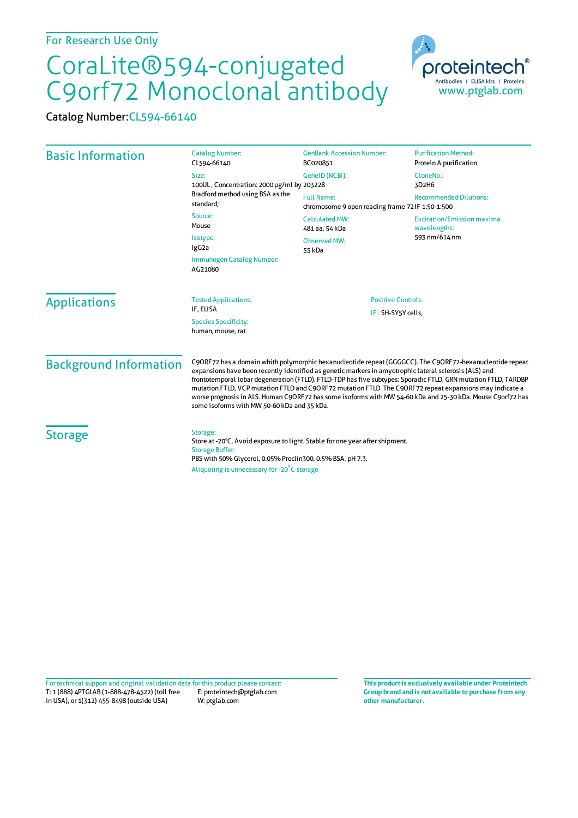## CoraLite®594-conjugated C9orf72 Monoclonal antibody

Catalog Number:CL594-66140

| <b>Basic Information</b>                                      | <b>Catalog Number:</b><br>CL594-66140                                                                                                                                                                                                                                                                                                                                                                                                                                                                                                                                                                         | <b>GenBank Accession Number:</b><br>BC020851                             | <b>Purification Method:</b><br>Protein A purification              |
|---------------------------------------------------------------|---------------------------------------------------------------------------------------------------------------------------------------------------------------------------------------------------------------------------------------------------------------------------------------------------------------------------------------------------------------------------------------------------------------------------------------------------------------------------------------------------------------------------------------------------------------------------------------------------------------|--------------------------------------------------------------------------|--------------------------------------------------------------------|
|                                                               | Size:<br>100UL, Concentration: 2000 µg/ml by 203228<br>Bradford method using BSA as the<br>standard;<br>Source:<br>Mouse<br>Isotype:<br>IgG <sub>2</sub> a                                                                                                                                                                                                                                                                                                                                                                                                                                                    | GeneID (NCBI):                                                           | CloneNo.:<br>3D2H6                                                 |
|                                                               |                                                                                                                                                                                                                                                                                                                                                                                                                                                                                                                                                                                                               | <b>Full Name:</b><br>chromosome 9 open reading frame 721F 1:50-1:500     | <b>Recommended Dilutions:</b>                                      |
|                                                               |                                                                                                                                                                                                                                                                                                                                                                                                                                                                                                                                                                                                               | <b>Calculated MW:</b><br>481 aa, 54 kDa<br><b>Observed MW:</b><br>55 kDa | <b>Excitation/Emission maxima</b><br>wavelengths:<br>593 nm/614 nm |
|                                                               |                                                                                                                                                                                                                                                                                                                                                                                                                                                                                                                                                                                                               |                                                                          |                                                                    |
|                                                               | <b>Applications</b>                                                                                                                                                                                                                                                                                                                                                                                                                                                                                                                                                                                           |                                                                          |                                                                    |
| IF, ELISA<br><b>Species Specificity:</b><br>human, mouse, rat |                                                                                                                                                                                                                                                                                                                                                                                                                                                                                                                                                                                                               | IF: SH-SY5Y cells,                                                       |                                                                    |
| <b>Background Information</b>                                 | C9ORF72 has a domain whith polymorphic hexanucleotide repeat (GGGGCC). The C9ORF72-hexanucleotide repeat<br>expansions have been recently identified as genetic markers in amyotrophic lateral sclerosis (ALS) and<br>frontotemporal lobar degeneration (FTLD). FTLD-TDP has five subtypes: Sporadic FTLD, GRN mutation FTLD, TARDBP<br>mutation FTLD, VCP mutation FTLD and C9ORF72 mutation FTLD. The C9ORF72 repeat expansions may indicate a<br>worse prognosis in ALS. Human C9ORF72 has some isoforms with MW 54-60 kDa and 25-30 kDa. Mouse C9orf72 has<br>some isoforms with MW 50-60 kDa and 35 kDa. |                                                                          |                                                                    |
| <b>Storage</b>                                                | Storage:<br>Store at -20°C. Avoid exposure to light. Stable for one year after shipment.<br><b>Storage Buffer:</b><br>PBS with 50% Glycerol, 0.05% Proclin300, 0.5% BSA, pH 7.3.<br>Aliquoting is unnecessary for -20°C storage                                                                                                                                                                                                                                                                                                                                                                               |                                                                          |                                                                    |

T: 1 (888) 4PTGLAB (1-888-478-4522) (toll free in USA), or 1(312) 455-8498 (outside USA) E: proteintech@ptglab.com W: ptglab.com Fortechnical support and original validation data forthis product please contact: **This productis exclusively available under Proteintech**

**Group brand and is not available to purchase from any other manufacturer.**